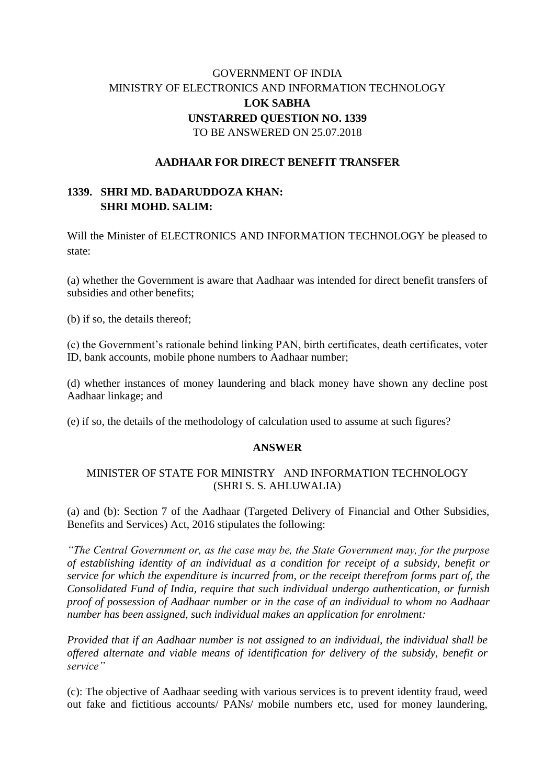# GOVERNMENT OF INDIA MINISTRY OF ELECTRONICS AND INFORMATION TECHNOLOGY **LOK SABHA UNSTARRED QUESTION NO. 1339** TO BE ANSWERED ON 25.07.2018

### **AADHAAR FOR DIRECT BENEFIT TRANSFER**

## **1339. SHRI MD. BADARUDDOZA KHAN: SHRI MOHD. SALIM:**

Will the Minister of ELECTRONICS AND INFORMATION TECHNOLOGY be pleased to state:

(a) whether the Government is aware that Aadhaar was intended for direct benefit transfers of subsidies and other benefits;

(b) if so, the details thereof;

(c) the Government's rationale behind linking PAN, birth certificates, death certificates, voter ID, bank accounts, mobile phone numbers to Aadhaar number;

(d) whether instances of money laundering and black money have shown any decline post Aadhaar linkage; and

(e) if so, the details of the methodology of calculation used to assume at such figures?

#### **ANSWER**

#### MINISTER OF STATE FOR MINISTRY AND INFORMATION TECHNOLOGY (SHRI S. S. AHLUWALIA)

(a) and (b): Section 7 of the Aadhaar (Targeted Delivery of Financial and Other Subsidies, Benefits and Services) Act, 2016 stipulates the following:

*"The Central Government or, as the case may be, the State Government may, for the purpose of establishing identity of an individual as a condition for receipt of a subsidy, benefit or service for which the expenditure is incurred from, or the receipt therefrom forms part of, the Consolidated Fund of India, require that such individual undergo authentication, or furnish proof of possession of Aadhaar number or in the case of an individual to whom no Aadhaar number has been assigned, such individual makes an application for enrolment:*

*Provided that if an Aadhaar number is not assigned to an individual, the individual shall be offered alternate and viable means of identification for delivery of the subsidy, benefit or service"*

(c): The objective of Aadhaar seeding with various services is to prevent identity fraud, weed out fake and fictitious accounts/ PANs/ mobile numbers etc, used for money laundering,